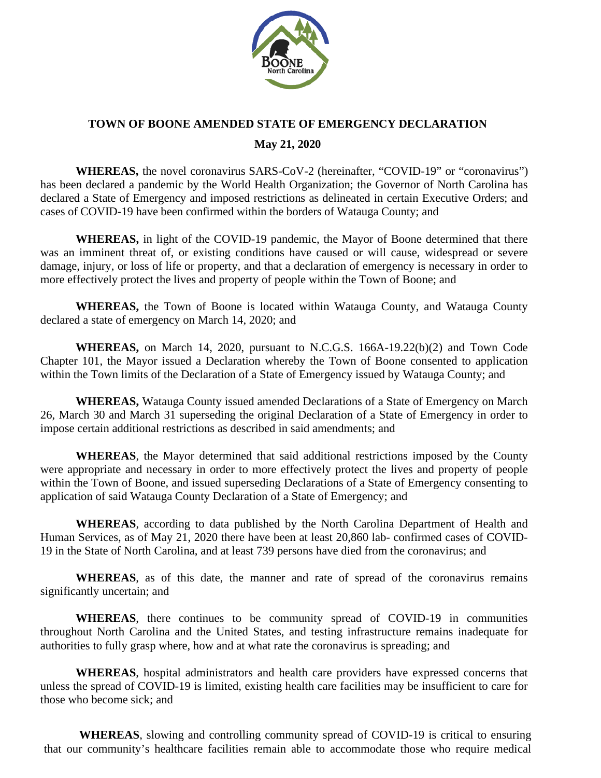

## **TOWN OF BOONE AMENDED STATE OF EMERGENCY DECLARATION**

## **May 21, 2020**

**WHEREAS,** the novel coronavirus SARS-CoV-2 (hereinafter, "COVID-19" or "coronavirus") has been declared a pandemic by the World Health Organization; the Governor of North Carolina has declared a State of Emergency and imposed restrictions as delineated in certain Executive Orders; and cases of COVID-19 have been confirmed within the borders of Watauga County; and

**WHEREAS,** in light of the COVID-19 pandemic, the Mayor of Boone determined that there was an imminent threat of, or existing conditions have caused or will cause, widespread or severe damage, injury, or loss of life or property, and that a declaration of emergency is necessary in order to more effectively protect the lives and property of people within the Town of Boone; and

**WHEREAS,** the Town of Boone is located within Watauga County, and Watauga County declared a state of emergency on March 14, 2020; and

**WHEREAS,** on March 14, 2020, pursuant to N.C.G.S. 166A-19.22(b)(2) and Town Code Chapter 101, the Mayor issued a Declaration whereby the Town of Boone consented to application within the Town limits of the Declaration of a State of Emergency issued by Watauga County; and

**WHEREAS,** Watauga County issued amended Declarations of a State of Emergency on March 26, March 30 and March 31 superseding the original Declaration of a State of Emergency in order to impose certain additional restrictions as described in said amendments; and

**WHEREAS**, the Mayor determined that said additional restrictions imposed by the County were appropriate and necessary in order to more effectively protect the lives and property of people within the Town of Boone, and issued superseding Declarations of a State of Emergency consenting to application of said Watauga County Declaration of a State of Emergency; and

**WHEREAS**, according to data published by the North Carolina Department of Health and Human Services, as of May 21, 2020 there have been at least 20,860 lab- confirmed cases of COVID-19 in the State of North Carolina, and at least 739 persons have died from the coronavirus; and

**WHEREAS**, as of this date, the manner and rate of spread of the coronavirus remains significantly uncertain; and

**WHEREAS**, there continues to be community spread of COVID-19 in communities throughout North Carolina and the United States, and testing infrastructure remains inadequate for authorities to fully grasp where, how and at what rate the coronavirus is spreading; and

**WHEREAS**, hospital administrators and health care providers have expressed concerns that unless the spread of COVID-19 is limited, existing health care facilities may be insufficient to care for those who become sick; and

**WHEREAS**, slowing and controlling community spread of COVID-19 is critical to ensuring that our community's healthcare facilities remain able to accommodate those who require medical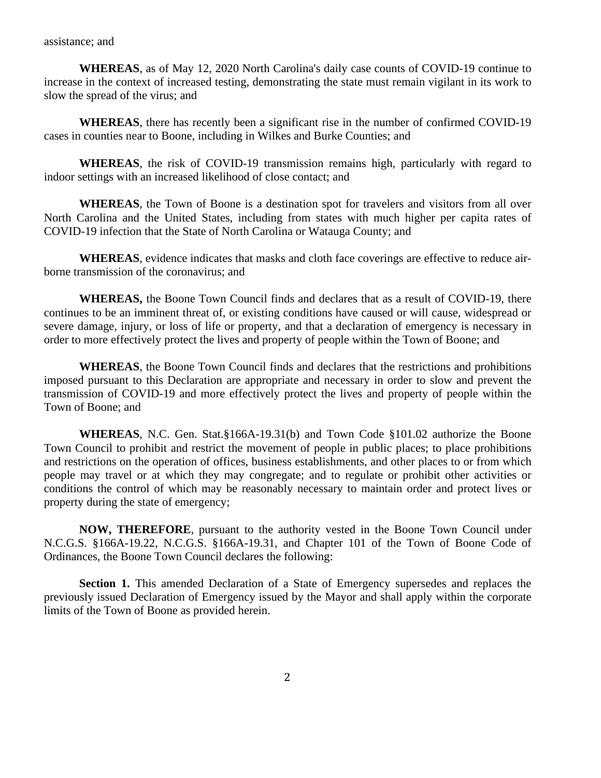**WHEREAS**, as of May 12, 2020 North Carolina's daily case counts of COVID-19 continue to increase in the context of increased testing, demonstrating the state must remain vigilant in its work to slow the spread of the virus; and

**WHEREAS**, there has recently been a significant rise in the number of confirmed COVID-19 cases in counties near to Boone, including in Wilkes and Burke Counties; and

**WHEREAS**, the risk of COVID-19 transmission remains high, particularly with regard to indoor settings with an increased likelihood of close contact; and

**WHEREAS**, the Town of Boone is a destination spot for travelers and visitors from all over North Carolina and the United States, including from states with much higher per capita rates of COVID-19 infection that the State of North Carolina or Watauga County; and

**WHEREAS**, evidence indicates that masks and cloth face coverings are effective to reduce airborne transmission of the coronavirus; and

**WHEREAS,** the Boone Town Council finds and declares that as a result of COVID-19, there continues to be an imminent threat of, or existing conditions have caused or will cause, widespread or severe damage, injury, or loss of life or property, and that a declaration of emergency is necessary in order to more effectively protect the lives and property of people within the Town of Boone; and

**WHEREAS**, the Boone Town Council finds and declares that the restrictions and prohibitions imposed pursuant to this Declaration are appropriate and necessary in order to slow and prevent the transmission of COVID-19 and more effectively protect the lives and property of people within the Town of Boone; and

**WHEREAS**, N.C. Gen. Stat.§166A-19.31(b) and Town Code §101.02 authorize the Boone Town Council to prohibit and restrict the movement of people in public places; to place prohibitions and restrictions on the operation of offices, business establishments, and other places to or from which people may travel or at which they may congregate; and to regulate or prohibit other activities or conditions the control of which may be reasonably necessary to maintain order and protect lives or property during the state of emergency;

**NOW, THEREFORE**, pursuant to the authority vested in the Boone Town Council under N.C.G.S. §166A-19.22, N.C.G.S. §166A-19.31, and Chapter 101 of the Town of Boone Code of Ordinances, the Boone Town Council declares the following:

**Section 1.** This amended Declaration of a State of Emergency supersedes and replaces the previously issued Declaration of Emergency issued by the Mayor and shall apply within the corporate limits of the Town of Boone as provided herein.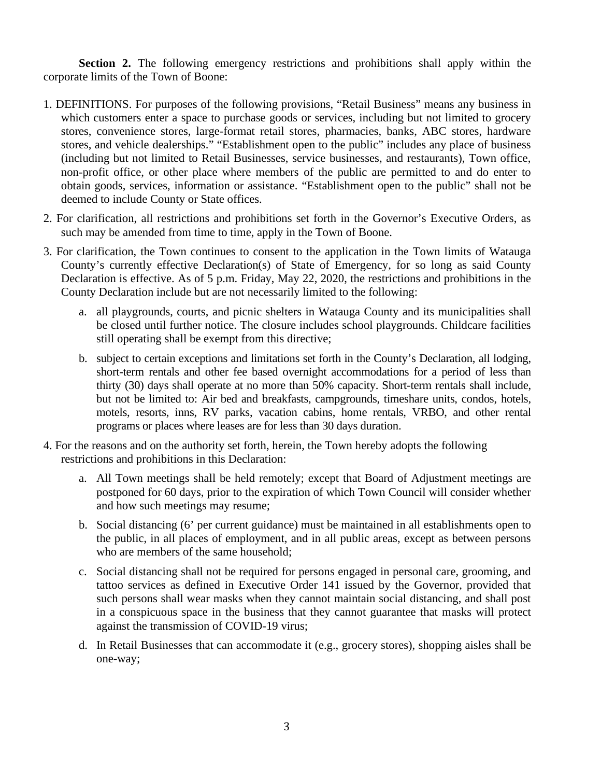**Section 2.** The following emergency restrictions and prohibitions shall apply within the corporate limits of the Town of Boone:

- 1. DEFINITIONS. For purposes of the following provisions, "Retail Business" means any business in which customers enter a space to purchase goods or services, including but not limited to grocery stores, convenience stores, large-format retail stores, pharmacies, banks, ABC stores, hardware stores, and vehicle dealerships." "Establishment open to the public" includes any place of business (including but not limited to Retail Businesses, service businesses, and restaurants), Town office, non-profit office, or other place where members of the public are permitted to and do enter to obtain goods, services, information or assistance. "Establishment open to the public" shall not be deemed to include County or State offices.
- 2. For clarification, all restrictions and prohibitions set forth in the Governor's Executive Orders, as such may be amended from time to time, apply in the Town of Boone.
- 3. For clarification, the Town continues to consent to the application in the Town limits of Watauga County's currently effective Declaration(s) of State of Emergency, for so long as said County Declaration is effective. As of 5 p.m. Friday, May 22, 2020, the restrictions and prohibitions in the County Declaration include but are not necessarily limited to the following:
	- a. all playgrounds, courts, and picnic shelters in Watauga County and its municipalities shall be closed until further notice. The closure includes school playgrounds. Childcare facilities still operating shall be exempt from this directive;
	- b. subject to certain exceptions and limitations set forth in the County's Declaration, all lodging, short-term rentals and other fee based overnight accommodations for a period of less than thirty (30) days shall operate at no more than 50% capacity. Short-term rentals shall include, but not be limited to: Air bed and breakfasts, campgrounds, timeshare units, condos, hotels, motels, resorts, inns, RV parks, vacation cabins, home rentals, VRBO, and other rental programs or places where leases are for less than 30 days duration.
- 4. For the reasons and on the authority set forth, herein, the Town hereby adopts the following restrictions and prohibitions in this Declaration:
	- a. All Town meetings shall be held remotely; except that Board of Adjustment meetings are postponed for 60 days, prior to the expiration of which Town Council will consider whether and how such meetings may resume;
	- b. Social distancing (6' per current guidance) must be maintained in all establishments open to the public, in all places of employment, and in all public areas, except as between persons who are members of the same household;
	- c. Social distancing shall not be required for persons engaged in personal care, grooming, and tattoo services as defined in Executive Order 141 issued by the Governor, provided that such persons shall wear masks when they cannot maintain social distancing, and shall post in a conspicuous space in the business that they cannot guarantee that masks will protect against the transmission of COVID-19 virus;
	- d. In Retail Businesses that can accommodate it (e.g., grocery stores), shopping aisles shall be one-way;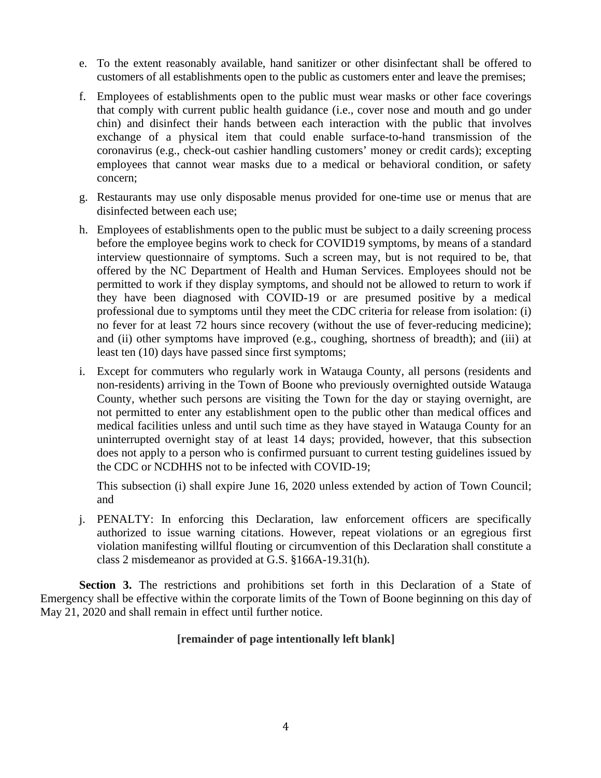- e. To the extent reasonably available, hand sanitizer or other disinfectant shall be offered to customers of all establishments open to the public as customers enter and leave the premises;
- f. Employees of establishments open to the public must wear masks or other face coverings that comply with current public health guidance (i.e., cover nose and mouth and go under chin) and disinfect their hands between each interaction with the public that involves exchange of a physical item that could enable surface-to-hand transmission of the coronavirus (e.g., check-out cashier handling customers' money or credit cards); excepting employees that cannot wear masks due to a medical or behavioral condition, or safety concern;
- g. Restaurants may use only disposable menus provided for one-time use or menus that are disinfected between each use;
- h. Employees of establishments open to the public must be subject to a daily screening process before the employee begins work to check for COVID19 symptoms, by means of a standard interview questionnaire of symptoms. Such a screen may, but is not required to be, that offered by the NC Department of Health and Human Services. Employees should not be permitted to work if they display symptoms, and should not be allowed to return to work if they have been diagnosed with COVID-19 or are presumed positive by a medical professional due to symptoms until they meet the CDC criteria for release from isolation: (i) no fever for at least 72 hours since recovery (without the use of fever-reducing medicine); and (ii) other symptoms have improved (e.g., coughing, shortness of breadth); and (iii) at least ten (10) days have passed since first symptoms;
- i. Except for commuters who regularly work in Watauga County, all persons (residents and non-residents) arriving in the Town of Boone who previously overnighted outside Watauga County, whether such persons are visiting the Town for the day or staying overnight, are not permitted to enter any establishment open to the public other than medical offices and medical facilities unless and until such time as they have stayed in Watauga County for an uninterrupted overnight stay of at least 14 days; provided, however, that this subsection does not apply to a person who is confirmed pursuant to current testing guidelines issued by the CDC or NCDHHS not to be infected with COVID-19;

This subsection (i) shall expire June 16, 2020 unless extended by action of Town Council; and

j. PENALTY: In enforcing this Declaration, law enforcement officers are specifically authorized to issue warning citations. However, repeat violations or an egregious first violation manifesting willful flouting or circumvention of this Declaration shall constitute a class 2 misdemeanor as provided at G.S. §166A-19.31(h).

**Section 3.** The restrictions and prohibitions set forth in this Declaration of a State of Emergency shall be effective within the corporate limits of the Town of Boone beginning on this day of May 21, 2020 and shall remain in effect until further notice.

## **[remainder of page intentionally left blank]**